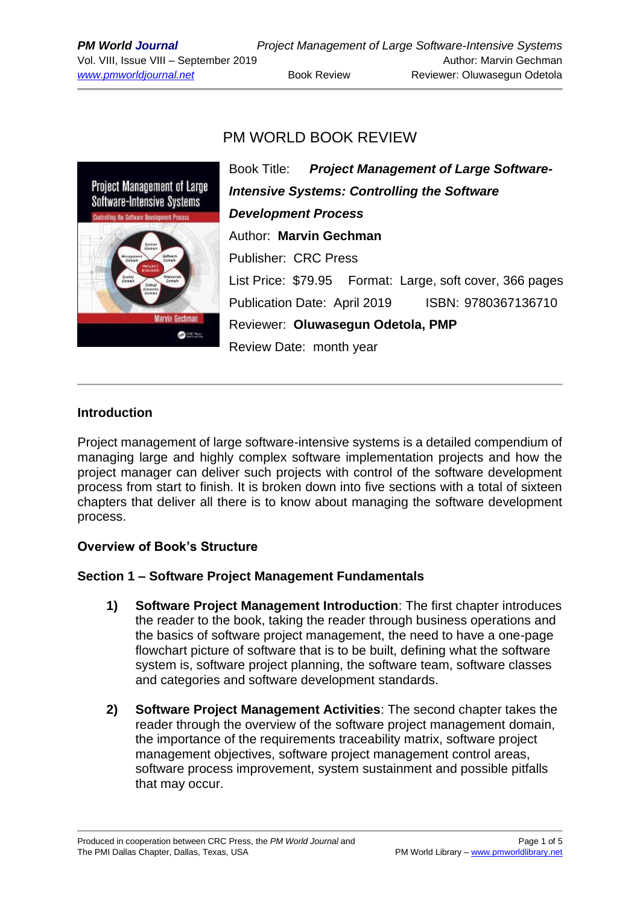# PM WORLD BOOK REVIEW



Book Title: *Project Management of Large Software-Intensive Systems: Controlling the Software Development Process* Author: **Marvin Gechman** Publisher: CRC Press List Price: \$79.95 Format: Large, soft cover, 366 pages Publication Date: April 2019 ISBN: 9780367136710 Reviewer: **Oluwasegun Odetola, PMP** Review Date: month year

### **Introduction**

Project management of large software-intensive systems is a detailed compendium of managing large and highly complex software implementation projects and how the project manager can deliver such projects with control of the software development process from start to finish. It is broken down into five sections with a total of sixteen chapters that deliver all there is to know about managing the software development process.

### **Overview of Book's Structure**

### **Section 1 – Software Project Management Fundamentals**

- **1) Software Project Management Introduction**: The first chapter introduces the reader to the book, taking the reader through business operations and the basics of software project management, the need to have a one-page flowchart picture of software that is to be built, defining what the software system is, software project planning, the software team, software classes and categories and software development standards.
- **2) Software Project Management Activities**: The second chapter takes the reader through the overview of the software project management domain, the importance of the requirements traceability matrix, software project management objectives, software project management control areas, software process improvement, system sustainment and possible pitfalls that may occur.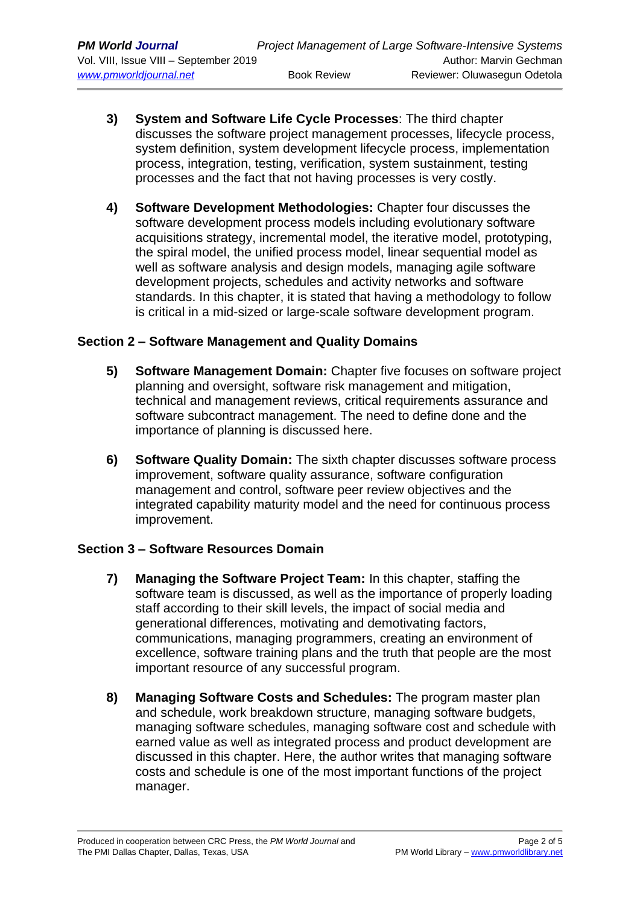- **3) System and Software Life Cycle Processes**: The third chapter discusses the software project management processes, lifecycle process, system definition, system development lifecycle process, implementation process, integration, testing, verification, system sustainment, testing processes and the fact that not having processes is very costly.
- **4) Software Development Methodologies:** Chapter four discusses the software development process models including evolutionary software acquisitions strategy, incremental model, the iterative model, prototyping, the spiral model, the unified process model, linear sequential model as well as software analysis and design models, managing agile software development projects, schedules and activity networks and software standards. In this chapter, it is stated that having a methodology to follow is critical in a mid-sized or large-scale software development program.

### **Section 2 – Software Management and Quality Domains**

- **5) Software Management Domain:** Chapter five focuses on software project planning and oversight, software risk management and mitigation, technical and management reviews, critical requirements assurance and software subcontract management. The need to define done and the importance of planning is discussed here.
- **6) Software Quality Domain:** The sixth chapter discusses software process improvement, software quality assurance, software configuration management and control, software peer review objectives and the integrated capability maturity model and the need for continuous process improvement.

# **Section 3 – Software Resources Domain**

- **7) Managing the Software Project Team:** In this chapter, staffing the software team is discussed, as well as the importance of properly loading staff according to their skill levels, the impact of social media and generational differences, motivating and demotivating factors, communications, managing programmers, creating an environment of excellence, software training plans and the truth that people are the most important resource of any successful program.
- **8) Managing Software Costs and Schedules:** The program master plan and schedule, work breakdown structure, managing software budgets, managing software schedules, managing software cost and schedule with earned value as well as integrated process and product development are discussed in this chapter. Here, the author writes that managing software costs and schedule is one of the most important functions of the project manager.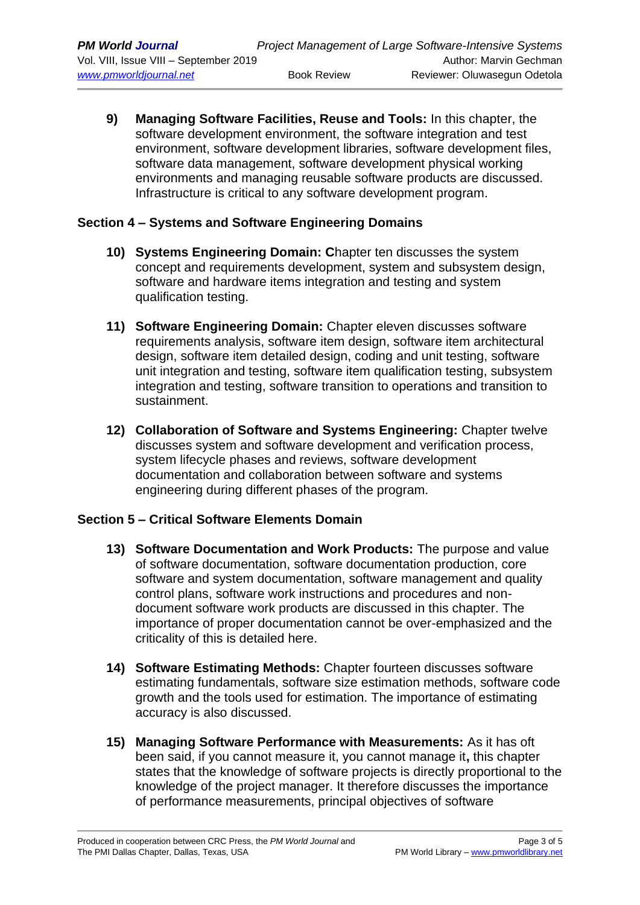**9) Managing Software Facilities, Reuse and Tools:** In this chapter, the software development environment, the software integration and test environment, software development libraries, software development files, software data management, software development physical working environments and managing reusable software products are discussed. Infrastructure is critical to any software development program.

### **Section 4 – Systems and Software Engineering Domains**

- **10) Systems Engineering Domain: C**hapter ten discusses the system concept and requirements development, system and subsystem design, software and hardware items integration and testing and system qualification testing.
- **11) Software Engineering Domain:** Chapter eleven discusses software requirements analysis, software item design, software item architectural design, software item detailed design, coding and unit testing, software unit integration and testing, software item qualification testing, subsystem integration and testing, software transition to operations and transition to sustainment.
- **12) Collaboration of Software and Systems Engineering:** Chapter twelve discusses system and software development and verification process, system lifecycle phases and reviews, software development documentation and collaboration between software and systems engineering during different phases of the program.

# **Section 5 – Critical Software Elements Domain**

- **13) Software Documentation and Work Products:** The purpose and value of software documentation, software documentation production, core software and system documentation, software management and quality control plans, software work instructions and procedures and nondocument software work products are discussed in this chapter. The importance of proper documentation cannot be over-emphasized and the criticality of this is detailed here.
- **14) Software Estimating Methods:** Chapter fourteen discusses software estimating fundamentals, software size estimation methods, software code growth and the tools used for estimation. The importance of estimating accuracy is also discussed.
- **15) Managing Software Performance with Measurements:** As it has oft been said, if you cannot measure it, you cannot manage it**,** this chapter states that the knowledge of software projects is directly proportional to the knowledge of the project manager. It therefore discusses the importance of performance measurements, principal objectives of software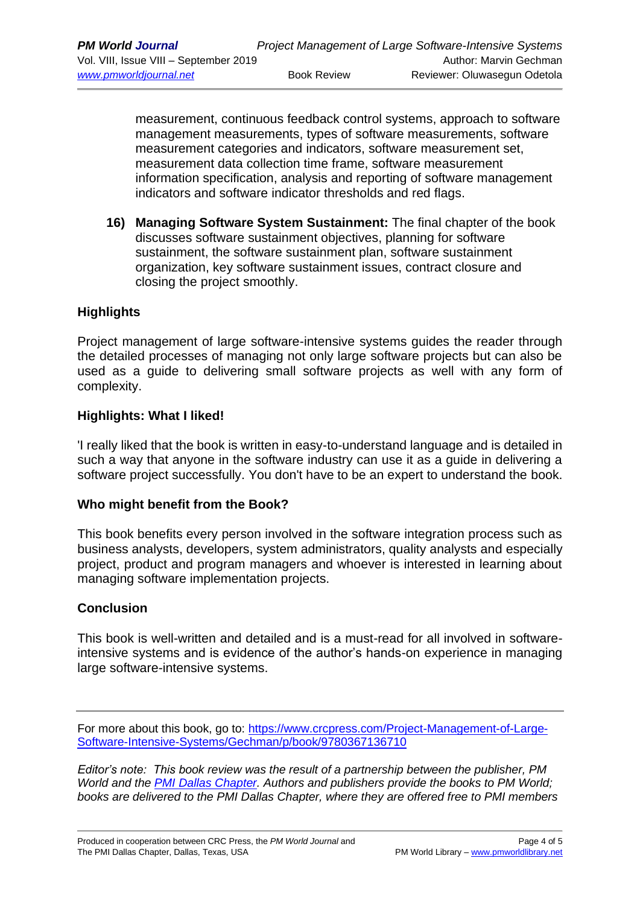measurement, continuous feedback control systems, approach to software management measurements, types of software measurements, software measurement categories and indicators, software measurement set, measurement data collection time frame, software measurement information specification, analysis and reporting of software management indicators and software indicator thresholds and red flags.

**16) Managing Software System Sustainment:** The final chapter of the book discusses software sustainment objectives, planning for software sustainment, the software sustainment plan, software sustainment organization, key software sustainment issues, contract closure and closing the project smoothly.

# **Highlights**

Project management of large software-intensive systems guides the reader through the detailed processes of managing not only large software projects but can also be used as a guide to delivering small software projects as well with any form of complexity.

### **Highlights: What I liked!**

'I really liked that the book is written in easy-to-understand language and is detailed in such a way that anyone in the software industry can use it as a guide in delivering a software project successfully. You don't have to be an expert to understand the book.

### **Who might benefit from the Book?**

This book benefits every person involved in the software integration process such as business analysts, developers, system administrators, quality analysts and especially project, product and program managers and whoever is interested in learning about managing software implementation projects.

### **Conclusion**

This book is well-written and detailed and is a must-read for all involved in softwareintensive systems and is evidence of the author's hands-on experience in managing large software-intensive systems.

For more about this book, go to: [https://www.crcpress.com/Project-Management-of-Large-](https://www.crcpress.com/Project-Management-of-Large-Software-Intensive-Systems/Gechman/p/book/9780367136710)[Software-Intensive-Systems/Gechman/p/book/9780367136710](https://www.crcpress.com/Project-Management-of-Large-Software-Intensive-Systems/Gechman/p/book/9780367136710)

*Editor's note: This book review was the result of a partnership between the publisher, PM World and the [PMI Dallas Chapter.](http://www.pmidallas.org/) Authors and publishers provide the books to PM World; books are delivered to the PMI Dallas Chapter, where they are offered free to PMI members*